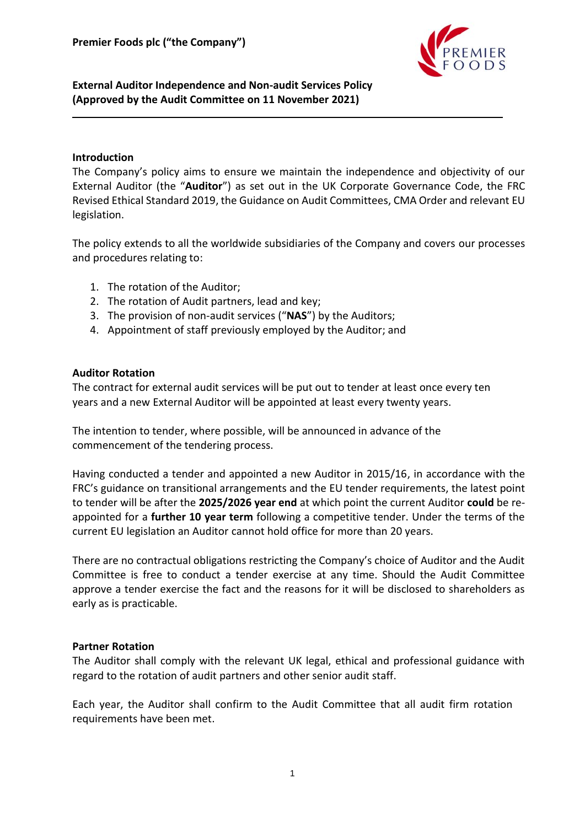

**External Auditor Independence and Non-audit Services Policy (Approved by the Audit Committee on 11 November 2021)**

## **Introduction**

The Company's policy aims to ensure we maintain the independence and objectivity of our External Auditor (the "**Auditor**") as set out in the UK Corporate Governance Code, the FRC Revised Ethical Standard 2019, the Guidance on Audit Committees, CMA Order and relevant EU legislation.

The policy extends to all the worldwide subsidiaries of the Company and covers our processes and procedures relating to:

- 1. The rotation of the Auditor;
- 2. The rotation of Audit partners, lead and key;
- 3. The provision of non-audit services ("**NAS**") by the Auditors;
- 4. Appointment of staff previously employed by the Auditor; and

## **Auditor Rotation**

The contract for external audit services will be put out to tender at least once every ten years and a new External Auditor will be appointed at least every twenty years.

The intention to tender, where possible, will be announced in advance of the commencement of the tendering process.

Having conducted a tender and appointed a new Auditor in 2015/16, in accordance with the FRC's guidance on transitional arrangements and the EU tender requirements, the latest point to tender will be after the **2025/2026 year end** at which point the current Auditor **could** be reappointed for a **further 10 year term** following a competitive tender. Under the terms of the current EU legislation an Auditor cannot hold office for more than 20 years.

There are no contractual obligations restricting the Company's choice of Auditor and the Audit Committee is free to conduct a tender exercise at any time. Should the Audit Committee approve a tender exercise the fact and the reasons for it will be disclosed to shareholders as early as is practicable.

## **Partner Rotation**

The Auditor shall comply with the relevant UK legal, ethical and professional guidance with regard to the rotation of audit partners and other senior audit staff.

Each year, the Auditor shall confirm to the Audit Committee that all audit firm rotation requirements have been met.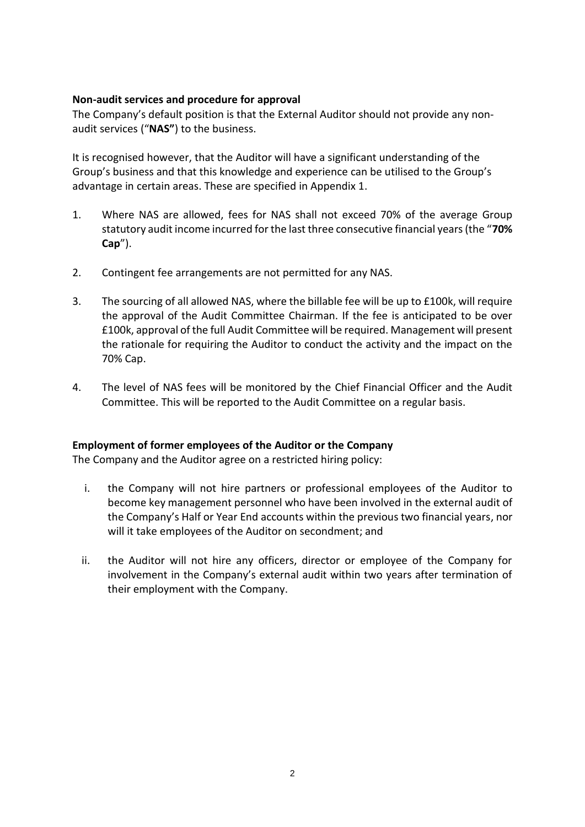## **Non-audit services and procedure for approval**

The Company's default position is that the External Auditor should not provide any nonaudit services ("**NAS"**) to the business.

It is recognised however, that the Auditor will have a significant understanding of the Group's business and that this knowledge and experience can be utilised to the Group's advantage in certain areas. These are specified in Appendix 1.

- 1. Where NAS are allowed, fees for NAS shall not exceed 70% of the average Group statutory audit income incurred for the last three consecutive financial years (the "**70% Cap**").
- 2. Contingent fee arrangements are not permitted for any NAS.
- 3. The sourcing of all allowed NAS, where the billable fee will be up to £100k, will require the approval of the Audit Committee Chairman. If the fee is anticipated to be over £100k, approval of the full Audit Committee will be required. Management will present the rationale for requiring the Auditor to conduct the activity and the impact on the 70% Cap.
- 4. The level of NAS fees will be monitored by the Chief Financial Officer and the Audit Committee. This will be reported to the Audit Committee on a regular basis.

## **Employment of former employees of the Auditor or the Company**

The Company and the Auditor agree on a restricted hiring policy:

- i. the Company will not hire partners or professional employees of the Auditor to become key management personnel who have been involved in the external audit of the Company's Half or Year End accounts within the previous two financial years, nor will it take employees of the Auditor on secondment; and
- ii. the Auditor will not hire any officers, director or employee of the Company for involvement in the Company's external audit within two years after termination of their employment with the Company.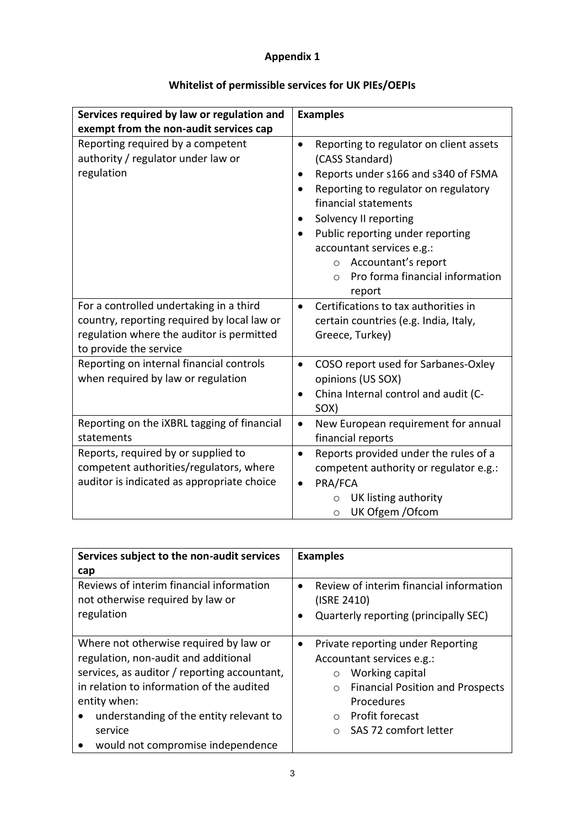# **Appendix 1**

| Services required by law or regulation and<br>exempt from the non-audit services cap                                                                          | <b>Examples</b>                                                                                                                                                                                                                                                                                                                                                                                                         |
|---------------------------------------------------------------------------------------------------------------------------------------------------------------|-------------------------------------------------------------------------------------------------------------------------------------------------------------------------------------------------------------------------------------------------------------------------------------------------------------------------------------------------------------------------------------------------------------------------|
| Reporting required by a competent<br>authority / regulator under law or<br>regulation                                                                         | Reporting to regulator on client assets<br>$\bullet$<br>(CASS Standard)<br>Reports under s166 and s340 of FSMA<br>$\bullet$<br>Reporting to regulator on regulatory<br>$\bullet$<br>financial statements<br>Solvency II reporting<br>$\bullet$<br>Public reporting under reporting<br>$\bullet$<br>accountant services e.g.:<br>Accountant's report<br>$\circ$<br>Pro forma financial information<br>$\Omega$<br>report |
| For a controlled undertaking in a third<br>country, reporting required by local law or<br>regulation where the auditor is permitted<br>to provide the service | Certifications to tax authorities in<br>$\bullet$<br>certain countries (e.g. India, Italy,<br>Greece, Turkey)                                                                                                                                                                                                                                                                                                           |
| Reporting on internal financial controls<br>when required by law or regulation                                                                                | COSO report used for Sarbanes-Oxley<br>$\bullet$<br>opinions (US SOX)<br>China Internal control and audit (C-<br>$\bullet$<br>SOX)                                                                                                                                                                                                                                                                                      |
| Reporting on the iXBRL tagging of financial<br>statements                                                                                                     | New European requirement for annual<br>$\bullet$<br>financial reports                                                                                                                                                                                                                                                                                                                                                   |
| Reports, required by or supplied to<br>competent authorities/regulators, where<br>auditor is indicated as appropriate choice                                  | Reports provided under the rules of a<br>$\bullet$<br>competent authority or regulator e.g.:<br>PRA/FCA<br>$\bullet$<br>UK listing authority<br>UK Ofgem / Ofcom<br>$\circ$                                                                                                                                                                                                                                             |

# **Whitelist of permissible services for UK PIEs/OEPIs**

| Services subject to the non-audit services                                                 | <b>Examples</b>                                                                                      |
|--------------------------------------------------------------------------------------------|------------------------------------------------------------------------------------------------------|
| cap                                                                                        |                                                                                                      |
| Reviews of interim financial information<br>not otherwise required by law or<br>regulation | Review of interim financial information<br>٠<br>(ISRE 2410)<br>Quarterly reporting (principally SEC) |
| Where not otherwise required by law or                                                     | Private reporting under Reporting                                                                    |
| regulation, non-audit and additional                                                       | Accountant services e.g.:                                                                            |
| services, as auditor / reporting accountant,                                               | Working capital<br>$\circ$                                                                           |
| in relation to information of the audited                                                  | <b>Financial Position and Prospects</b><br>$\bigcirc$                                                |
| entity when:                                                                               | Procedures                                                                                           |
| understanding of the entity relevant to<br>$\bullet$                                       | <b>Profit forecast</b><br>$\Omega$                                                                   |
| service                                                                                    | SAS 72 comfort letter                                                                                |
| would not compromise independence<br>$\bullet$                                             |                                                                                                      |